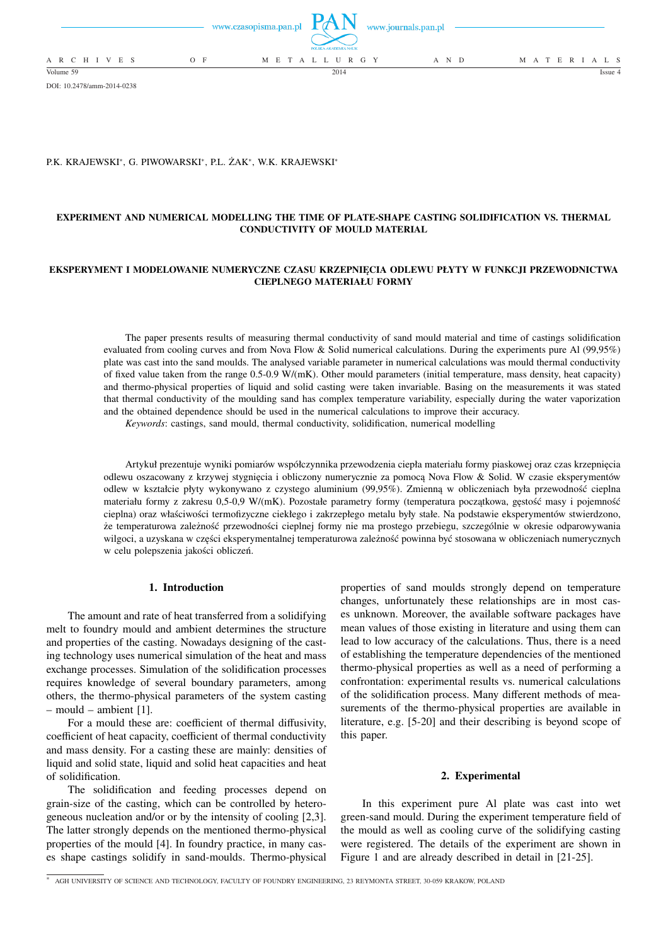

```
DOI: 10.2478/amm-2014-0238
```
# P.K. KRAJEWSKI<sup>∗</sup> , G. PIWOWARSKI<sup>∗</sup> , P.L. ŻAK<sup>∗</sup> , W.K. KRAJEWSKI<sup>∗</sup>

# **EXPERIMENT AND NUMERICAL MODELLING THE TIME OF PLATE-SHAPE CASTING SOLIDIFICATION VS. THERMAL CONDUCTIVITY OF MOULD MATERIAL**

## **EKSPERYMENT I MODELOWANIE NUMERYCZNE CZASU KRZEPNIĘCIA ODLEWU PŁYTY W FUNKCJI PRZEWODNICTWA CIEPLNEGO MATERIAŁU FORMY**

The paper presents results of measuring thermal conductivity of sand mould material and time of castings solidification evaluated from cooling curves and from Nova Flow & Solid numerical calculations. During the experiments pure Al (99,95%) plate was cast into the sand moulds. The analysed variable parameter in numerical calculations was mould thermal conductivity of fixed value taken from the range 0.5-0.9 W/(mK). Other mould parameters (initial temperature, mass density, heat capacity) and thermo-physical properties of liquid and solid casting were taken invariable. Basing on the measurements it was stated that thermal conductivity of the moulding sand has complex temperature variability, especially during the water vaporization and the obtained dependence should be used in the numerical calculations to improve their accuracy.

*Keywords*: castings, sand mould, thermal conductivity, solidification, numerical modelling

Artykuł prezentuje wyniki pomiarów współczynnika przewodzenia ciepła materiału formy piaskowej oraz czas krzepnięcia odlewu oszacowany z krzywej stygnięcia i obliczony numerycznie za pomocą Nova Flow & Solid. W czasie eksperymentów odlew w kształcie płyty wykonywano z czystego aluminium (99,95%). Zmienną w obliczeniach była przewodność cieplna materiału formy z zakresu 0,5-0,9 W/(mK). Pozostałe parametry formy (temperatura początkowa, gęstość masy i pojemność cieplna) oraz właściwości termofizyczne ciekłego i zakrzepłego metalu były stałe. Na podstawie eksperymentów stwierdzono, że temperaturowa zależność przewodności cieplnej formy nie ma prostego przebiegu, szczególnie w okresie odparowywania wilgoci, a uzyskana w części eksperymentalnej temperaturowa zależność powinna być stosowana w obliczeniach numerycznych w celu polepszenia jakości obliczeń.

# **1. Introduction**

The amount and rate of heat transferred from a solidifying melt to foundry mould and ambient determines the structure and properties of the casting. Nowadays designing of the casting technology uses numerical simulation of the heat and mass exchange processes. Simulation of the solidification processes requires knowledge of several boundary parameters, among others, the thermo-physical parameters of the system casting – mould – ambient [1].

For a mould these are: coefficient of thermal diffusivity, coefficient of heat capacity, coefficient of thermal conductivity and mass density. For a casting these are mainly: densities of liquid and solid state, liquid and solid heat capacities and heat of solidification.

The solidification and feeding processes depend on grain-size of the casting, which can be controlled by heterogeneous nucleation and/or or by the intensity of cooling [2,3]. The latter strongly depends on the mentioned thermo-physical properties of the mould [4]. In foundry practice, in many cases shape castings solidify in sand-moulds. Thermo-physical

properties of sand moulds strongly depend on temperature changes, unfortunately these relationships are in most cases unknown. Moreover, the available software packages have mean values of those existing in literature and using them can lead to low accuracy of the calculations. Thus, there is a need of establishing the temperature dependencies of the mentioned thermo-physical properties as well as a need of performing a confrontation: experimental results vs. numerical calculations of the solidification process. Many different methods of measurements of the thermo-physical properties are available in literature, e.g. [5-20] and their describing is beyond scope of this paper.

### **2. Experimental**

In this experiment pure Al plate was cast into wet green-sand mould. During the experiment temperature field of the mould as well as cooling curve of the solidifying casting were registered. The details of the experiment are shown in Figure 1 and are already described in detail in [21-25].

<sup>∗</sup> AGH UNIVERSITY OF SCIENCE AND TECHNOLOGY, FACULTY OF FOUNDRY ENGINEERING, 23 REYMONTA STREET, 30-059 KRAKOW, POLAND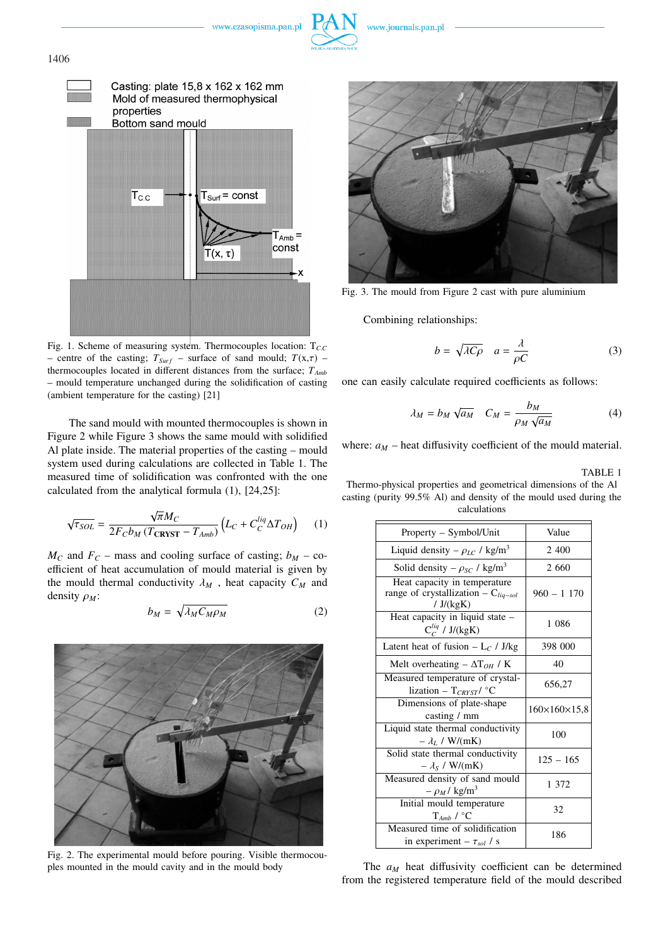



1406



Fig. 1. Scheme of measuring system. Thermocouples location: T<sub>CC</sub> – centre of the casting;  $T_{\text{Surf}}$  – surface of sand mould;  $T(x,\tau)$  – thermocouples located in different distances from the surface; *TAmb* – mould temperature unchanged during the solidification of casting (ambient temperature for the casting) [21]

The sand mould with mounted thermocouples is shown in Figure 2 while Figure 3 shows the same mould with solidified Al plate inside. The material properties of the casting – mould system used during calculations are collected in Table 1. The measured time of solidification was confronted with the one calculated from the analytical formula (1), [24,25]:

$$
\sqrt{\tau_{SOL}} = \frac{\sqrt{\pi}M_C}{2F_Cb_M(T_{\text{CRVST}} - T_{Amb})} \left( L_C + C_C^{liq} \Delta T_{OH} \right) \tag{1}
$$

 $M_C$  and  $F_C$  – mass and cooling surface of casting;  $b_M$  – coefficient of heat accumulation of mould material is given by the mould thermal conductivity  $\lambda_M$ , heat capacity  $C_M$  and density ρ*<sup>M</sup>* : p

$$
b_M = \sqrt{\lambda_M C_M \rho_M} \tag{2}
$$



Fig. 2. The experimental mould before pouring. Visible thermocouples mounted in the mould cavity and in the mould body



Fig. 3. The mould from Figure 2 cast with pure aluminium

Combining relationships:

$$
b = \sqrt{\lambda C \rho} \quad a = \frac{\lambda}{\rho C} \tag{3}
$$

one can easily calculate required coefficients as follows:

$$
\lambda_M = b_M \sqrt{a_M} \quad C_M = \frac{b_M}{\rho_M \sqrt{a_M}} \tag{4}
$$

where:  $a_M$  – heat diffusivity coefficient of the mould material.

TABLE 1

Thermo-physical properties and geometrical dimensions of the Al casting (purity 99.5% Al) and density of the mould used during the calculations

| Property – Symbol/Unit                                                                  | Value                        |  |
|-----------------------------------------------------------------------------------------|------------------------------|--|
| Liquid density – $\rho_{LC}$ / kg/m <sup>3</sup>                                        | 2 400                        |  |
| Solid density – $\rho_{SC}$ / kg/m <sup>3</sup>                                         | 2 6 6 0                      |  |
| Heat capacity in temperature<br>range of crystallization - $C_{liq-sol}$<br>/ $J/(kgK)$ | $960 - 1170$                 |  |
| Heat capacity in liquid state -<br>$C_C^{liq}$ / J/(kgK)                                | 1 086                        |  |
| Latent heat of fusion $-L_C / J/kg$                                                     | 398 000                      |  |
| Melt overheating $-\Delta T_{OH}$ / K                                                   | 40                           |  |
| Measured temperature of crystal-<br>lization – $T_{CRYST}$ / °C                         | 656,27                       |  |
| Dimensions of plate-shape<br>casting / mm                                               | $160 \times 160 \times 15,8$ |  |
| Liquid state thermal conductivity<br>$-\lambda_L / W/(mK)$                              | 100                          |  |
| Solid state thermal conductivity<br>$-\lambda_s$ / W/(mK)                               | $125 - 165$                  |  |
| Measured density of sand mould<br>$-\rho_M$ / kg/m <sup>3</sup>                         | 1 372                        |  |
| Initial mould temperature<br>$T_{Amb}$ / $°C$                                           | 32                           |  |
| Measured time of solidification<br>in experiment – $\tau_{sol}$ / s                     | 186                          |  |

The  $a_M$  heat diffusivity coefficient can be determined from the registered temperature field of the mould described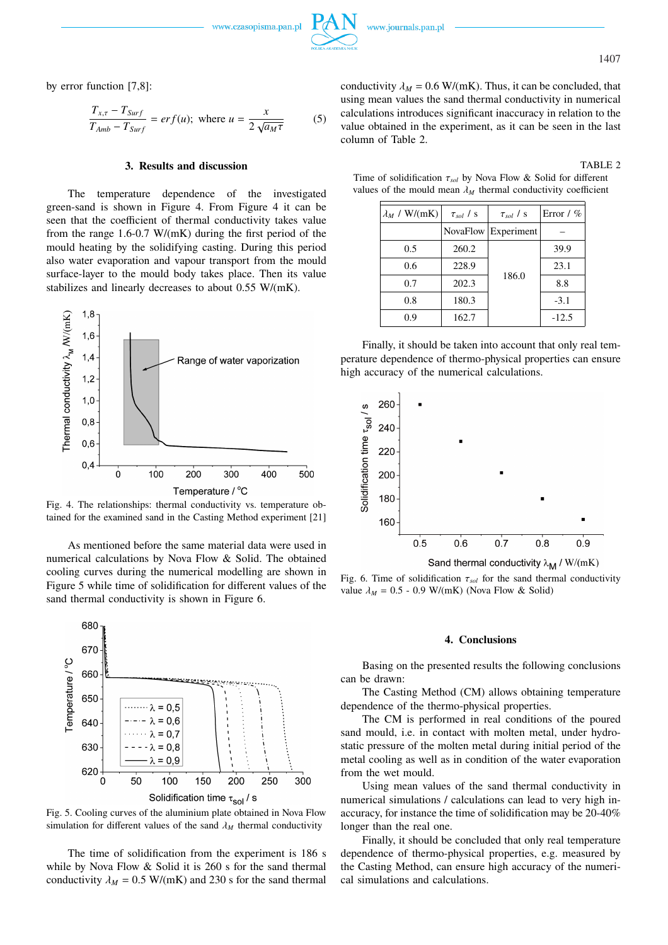www.czasopisma.pan.pl

1407

by error function [7,8]:

$$
\frac{T_{x,\tau} - T_{Surf}}{T_{Amb} - T_{Surf}} = erf(u); \text{ where } u = \frac{x}{2\sqrt{a_M\tau}}
$$
 (5)

### **3. Results and discussion**

The temperature dependence of the investigated green-sand is shown in Figure 4. From Figure 4 it can be seen that the coefficient of thermal conductivity takes value from the range 1.6-0.7 W/(mK) during the first period of the mould heating by the solidifying casting. During this period also water evaporation and vapour transport from the mould surface-layer to the mould body takes place. Then its value stabilizes and linearly decreases to about 0.55 W/(mK).



Fig. 4. The relationships: thermal conductivity vs. temperature obtained for the examined sand in the Casting Method experiment [21]

As mentioned before the same material data were used in numerical calculations by Nova Flow & Solid. The obtained cooling curves during the numerical modelling are shown in Figure 5 while time of solidification for different values of the sand thermal conductivity is shown in Figure 6.



Fig. 5. Cooling curves of the aluminium plate obtained in Nova Flow simulation for different values of the sand  $\lambda_M$  thermal conductivity

The time of solidification from the experiment is 186 s while by Nova Flow & Solid it is 260 s for the sand thermal conductivity  $\lambda_M = 0.5$  W/(mK) and 230 s for the sand thermal

conductivity  $\lambda_M = 0.6 \text{ W/(mK)}$ . Thus, it can be concluded, that using mean values the sand thermal conductivity in numerical calculations introduces significant inaccuracy in relation to the value obtained in the experiment, as it can be seen in the last column of Table 2.

# TABLE 2

Time of solidification τ*sol* by Nova Flow & Solid for different values of the mould mean  $\lambda_M$  thermal conductivity coefficient

| $\lambda_M$ / W/(mK) | $\tau_{sol}$ / s | $\tau_{sol}$ / s               | Error / $%$ |
|----------------------|------------------|--------------------------------|-------------|
|                      |                  | NovaFlow Experiment            |             |
| 0.5                  | 260.2            |                                | 39.9        |
| 0.6                  | 228.9            | 23.1<br>186.0<br>8.8<br>$-3.1$ |             |
| 0.7                  | 202.3            |                                |             |
| 0.8                  | 180.3            |                                |             |
| 0.9                  | 162.7            |                                | $-12.5$     |

Finally, it should be taken into account that only real temperature dependence of thermo-physical properties can ensure high accuracy of the numerical calculations.



Sand thermal conductivity  $\lambda_M / W/(mK)$ 

Fig. 6. Time of solidification  $\tau_{sol}$  for the sand thermal conductivity value  $\lambda_M = 0.5 - 0.9$  W/(mK) (Nova Flow & Solid)

## **4. Conclusions**

Basing on the presented results the following conclusions can be drawn:

The Casting Method (CM) allows obtaining temperature dependence of the thermo-physical properties.

The CM is performed in real conditions of the poured sand mould, i.e. in contact with molten metal, under hydrostatic pressure of the molten metal during initial period of the metal cooling as well as in condition of the water evaporation from the wet mould.

Using mean values of the sand thermal conductivity in numerical simulations / calculations can lead to very high inaccuracy, for instance the time of solidification may be 20-40% longer than the real one.

Finally, it should be concluded that only real temperature dependence of thermo-physical properties, e.g. measured by the Casting Method, can ensure high accuracy of the numerical simulations and calculations.